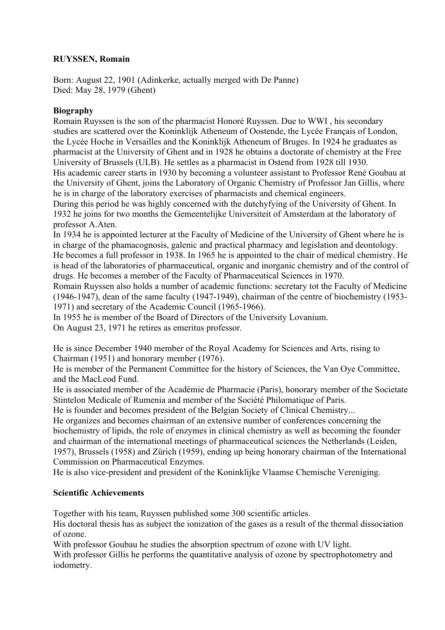## **RUYSSEN, Romain**

Born: August 22, 1901 (Adinkerke, actually merged with De Panne) Died: May 28, 1979 (Ghent)

## **Biography**

Romain Ruyssen is the son of the pharmacist Honoré Ruyssen. Due to WWI , his secondary studies are scattered over the Koninklijk Atheneum of Oostende, the Lycée Français of London, the Lycée Hoche in Versailles and the Koninklijk Atheneum of Bruges. In 1924 he graduates as pharmacist at the University of Ghent and in 1928 he obtains a doctorate of chemistry at the Free University of Brussels (ULB). He settles as a pharmacist in Ostend from 1928 till 1930. His academic career starts in 1930 by becoming a volunteer assistant to Professor René Goubau at the University of Ghent, joins the Laboratory of Organic Chemistry of Professor Jan Gillis, where he is in charge of the laboratory exercises of pharmacists and chemical engineers.

During this period he was highly concerned with the dutchyfying of the University of Ghent. In 1932 he joins for two months the Gemeentelijke Universiteit of Amsterdam at the laboratory of professor A.Aten.

In 1934 he is appointed lecturer at the Faculty of Medicine of the University of Ghent where he is in charge of the phamacognosis, galenic and practical pharmacy and legislation and deontology. He becomes a full professor in 1938. In 1965 he is appointed to the chair of medical chemistry. He

is head of the laboratories of pharmaceutical, organic and inorganic chemistry and of the control of drugs. He becomes a member of the Faculty of Pharmaceutical Sciences in 1970.

Romain Ruyssen also holds a number of academic functions: secretary tot the Faculty of Medicine (1946-1947), dean of the same faculty (1947-1949), chairman of the centre of biochemistry (1953- 1971) and secretary of the Academic Council (1965-1966).

In 1955 he is member of the Board of Directors of the University Lovanium.

On August 23, 1971 he retires as emeritus professor.

He is since December 1940 member of the Royal Academy for Sciences and Arts, rising to Chairman (1951) and honorary member (1976).

He is member of the Permanent Committee for the history of Sciences, the Van Oye Committee, and the MacLeod Fund.

He is associated member of the Académie de Pharmacie (Paris), honorary member of the Societate Stintelon Medicale of Rumenia and member of the Société Philomatique of Paris.

He is founder and becomes president of the Belgian Society of Clinical Chemistry...

He organizes and becomes chairman of an extensive number of conferences concerning the biochemistry of lipids, the role of enzymes in clinical chemistry as well as becoming the founder and chairman of the international meetings of pharmaceutical sciences the Netherlands (Leiden, 1957), Brussels (1958) and Zürich (1959), ending up being honorary chairman of the International Commission on Pharmaceutical Enzymes.

He is also vice-president and president of the Koninklijke Vlaamse Chemische Vereniging.

## **Scientific Achievements**

Together with his team, Ruyssen published some 300 scientific articles.

His doctoral thesis has as subject the ionization of the gases as a result of the thermal dissociation of ozone.

With professor Goubau he studies the absorption spectrum of ozone with UV light.

With professor Gillis he performs the quantitative analysis of ozone by spectrophotometry and iodometry.